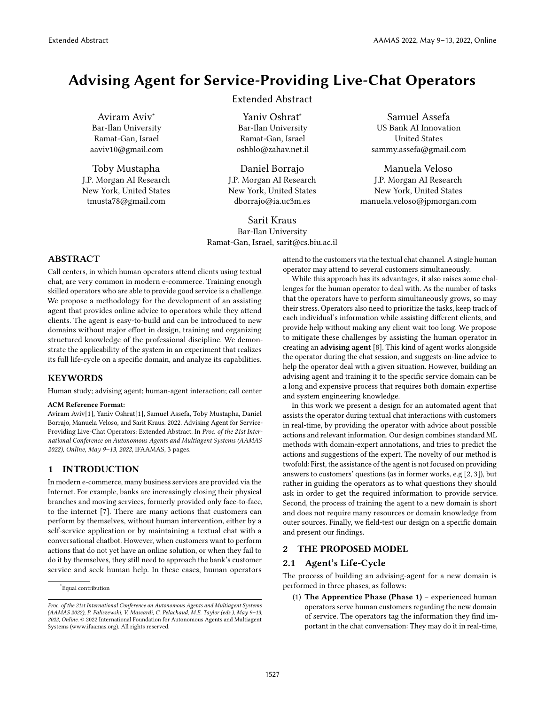# Advising Agent for Service-Providing Live-Chat Operators

Aviram Aviv<sup>∗</sup> Bar-Ilan University Ramat-Gan, Israel aaviv10@gmail.com

Toby Mustapha J.P. Morgan AI Research New York, United States tmusta78@gmail.com

# Extended Abstract

Yaniv Oshrat<sup>∗</sup> Bar-Ilan University Ramat-Gan, Israel oshblo@zahav.net.il

Daniel Borrajo J.P. Morgan AI Research New York, United States dborrajo@ia.uc3m.es

Sarit Kraus Bar-Ilan University Ramat-Gan, Israel, sarit@cs.biu.ac.il

Samuel Assefa US Bank AI Innovation United States sammy.assefa@gmail.com

Manuela Veloso J.P. Morgan AI Research New York, United States manuela.veloso@jpmorgan.com

# ABSTRACT

Call centers, in which human operators attend clients using textual chat, are very common in modern e-commerce. Training enough skilled operators who are able to provide good service is a challenge. We propose a methodology for the development of an assisting agent that provides online advice to operators while they attend clients. The agent is easy-to-build and can be introduced to new domains without major effort in design, training and organizing structured knowledge of the professional discipline. We demonstrate the applicability of the system in an experiment that realizes its full life-cycle on a specific domain, and analyze its capabilities.

#### **KEYWORDS**

Human study; advising agent; human-agent interaction; call center

#### ACM Reference Format:

Aviram Aviv[1], Yaniv Oshrat[1], Samuel Assefa, Toby Mustapha, Daniel Borrajo, Manuela Veloso, and Sarit Kraus. 2022. Advising Agent for Service-Providing Live-Chat Operators: Extended Abstract. In Proc. of the 21st International Conference on Autonomous Agents and Multiagent Systems (AAMAS 2022), Online, May 9–13, 2022, IFAAMAS, [3](#page-2-0) pages.

# 1 INTRODUCTION

In modern e-commerce, many business services are provided via the Internet. For example, banks are increasingly closing their physical branches and moving services, formerly provided only face-to-face, to the internet [\[7\]](#page-2-1). There are many actions that customers can perform by themselves, without human intervention, either by a self-service application or by maintaining a textual chat with a conversational chatbot. However, when customers want to perform actions that do not yet have an online solution, or when they fail to do it by themselves, they still need to approach the bank's customer service and seek human help. In these cases, human operators

attend to the customers via the textual chat channel. A single human operator may attend to several customers simultaneously.

While this approach has its advantages, it also raises some challenges for the human operator to deal with. As the number of tasks that the operators have to perform simultaneously grows, so may their stress. Operators also need to prioritize the tasks, keep track of each individual's information while assisting different clients, and provide help without making any client wait too long. We propose to mitigate these challenges by assisting the human operator in creating an advising agent [\[8\]](#page-2-2). This kind of agent works alongside the operator during the chat session, and suggests on-line advice to help the operator deal with a given situation. However, building an advising agent and training it to the specific service domain can be a long and expensive process that requires both domain expertise and system engineering knowledge.

In this work we present a design for an automated agent that assists the operator during textual chat interactions with customers in real-time, by providing the operator with advice about possible actions and relevant information. Our design combines standard ML methods with domain-expert annotations, and tries to predict the actions and suggestions of the expert. The novelty of our method is twofold: First, the assistance of the agent is not focused on providing answers to customers' questions (as in former works, e.g [\[2,](#page-2-3) [3\]](#page-2-4)), but rather in guiding the operators as to what questions they should ask in order to get the required information to provide service. Second, the process of training the agent to a new domain is short and does not require many resources or domain knowledge from outer sources. Finally, we field-test our design on a specific domain and present our findings.

### 2 THE PROPOSED MODEL

#### 2.1 Agent's Life-Cycle

The process of building an advising-agent for a new domain is performed in three phases, as follows:

(1) The Apprentice Phase (Phase 1) – experienced human operators serve human customers regarding the new domain of service. The operators tag the information they find important in the chat conversation: They may do it in real-time,

<sup>\*</sup>Equal contribution

Proc. of the 21st International Conference on Autonomous Agents and Multiagent Systems (AAMAS 2022), P. Faliszewski, V. Mascardi, C. Pelachaud, M.E. Taylor (eds.), May 9–13, 2022, Online. © 2022 International Foundation for Autonomous Agents and Multiagent Systems (www.ifaamas.org). All rights reserved.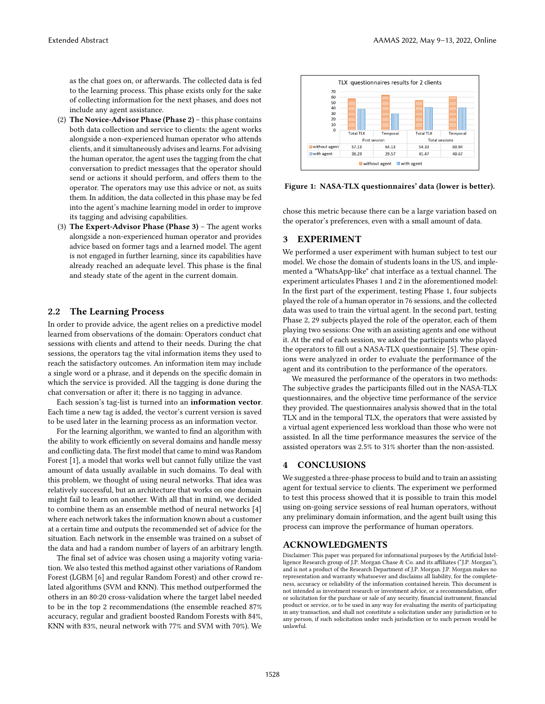as the chat goes on, or afterwards. The collected data is fed to the learning process. This phase exists only for the sake of collecting information for the next phases, and does not include any agent assistance.

- (2) The Novice-Advisor Phase (Phase 2) this phase contains both data collection and service to clients: the agent works alongside a non-experienced human operator who attends clients, and it simultaneously advises and learns. For advising the human operator, the agent uses the tagging from the chat conversation to predict messages that the operator should send or actions it should perform, and offers them to the operator. The operators may use this advice or not, as suits them. In addition, the data collected in this phase may be fed into the agent's machine learning model in order to improve its tagging and advising capabilities.
- (3) The Expert-Advisor Phase (Phase 3) The agent works alongside a non-experienced human operator and provides advice based on former tags and a learned model. The agent is not engaged in further learning, since its capabilities have already reached an adequate level. This phase is the final and steady state of the agent in the current domain.

## 2.2 The Learning Process

In order to provide advice, the agent relies on a predictive model learned from observations of the domain: Operators conduct chat sessions with clients and attend to their needs. During the chat sessions, the operators tag the vital information items they used to reach the satisfactory outcomes. An information item may include a single word or a phrase, and it depends on the specific domain in which the service is provided. All the tagging is done during the chat conversation or after it; there is no tagging in advance.

Each session's tag-list is turned into an information vector. Each time a new tag is added, the vector's current version is saved to be used later in the learning process as an information vector.

For the learning algorithm, we wanted to find an algorithm with the ability to work efficiently on several domains and handle messy and conflicting data. The first model that came to mind was Random Forest [\[1\]](#page-2-5), a model that works well but cannot fully utilize the vast amount of data usually available in such domains. To deal with this problem, we thought of using neural networks. That idea was relatively successful, but an architecture that works on one domain might fail to learn on another. With all that in mind, we decided to combine them as an ensemble method of neural networks [\[4\]](#page-2-6) where each network takes the information known about a customer at a certain time and outputs the recommended set of advice for the situation. Each network in the ensemble was trained on a subset of the data and had a random number of layers of an arbitrary length.

The final set of advice was chosen using a majority voting variation. We also tested this method against other variations of Random Forest (LGBM [\[6\]](#page-2-7) and regular Random Forest) and other crowd related algorithms (SVM and KNN). This method outperformed the others in an 80:20 cross-validation where the target label needed to be in the top 2 recommendations (the ensemble reached 87% accuracy, regular and gradient boosted Random Forests with 84%, KNN with 83%, neural network with 77% and SVM with 70%). We



Figure 1: NASA-TLX questionnaires' data (lower is better).

chose this metric because there can be a large variation based on the operator's preferences, even with a small amount of data.

## 3 EXPERIMENT

We performed a user experiment with human subject to test our model. We chose the domain of students loans in the US, and implemented a "WhatsApp-like" chat interface as a textual channel. The experiment articulates Phases 1 and 2 in the aforementioned model: In the first part of the experiment, testing Phase 1, four subjects played the role of a human operator in 76 sessions, and the collected data was used to train the virtual agent. In the second part, testing Phase 2, 29 subjects played the role of the operator, each of them playing two sessions: One with an assisting agents and one without it. At the end of each session, we asked the participants who played the operators to fill out a NASA-TLX questionnaire [\[5\]](#page-2-8). These opinions were analyzed in order to evaluate the performance of the agent and its contribution to the performance of the operators.

We measured the performance of the operators in two methods: The subjective grades the participants filled out in the NASA-TLX questionnaires, and the objective time performance of the service they provided. The questionnaires analysis showed that in the total TLX and in the temporal TLX, the operators that were assisted by a virtual agent experienced less workload than those who were not assisted. In all the time performance measures the service of the assisted operators was 2.5% to 31% shorter than the non-assisted.

# 4 CONCLUSIONS

We suggested a three-phase process to build and to train an assisting agent for textual service to clients. The experiment we performed to test this process showed that it is possible to train this model using on-going service sessions of real human operators, without any preliminary domain information, and the agent built using this process can improve the performance of human operators.

# ACKNOWLEDGMENTS

Disclaimer: This paper was prepared for informational purposes by the Artificial Intelligence Research group of J.P. Morgan Chase & Co. and its affiliates ("J.P. Morgan"), and is not a product of the Research Department of J.P. Morgan. J.P. Morgan makes no representation and warranty whatsoever and disclaims all liability, for the completeness, accuracy or reliability of the information contained herein. This document is not intended as investment research or investment advice, or a recommendation, offer or solicitation for the purchase or sale of any security, financial instrument, financial product or service, or to be used in any way for evaluating the merits of participating in any transaction, and shall not constitute a solicitation under any jurisdiction or to any person, if such solicitation under such jurisdiction or to such person would be unlawful.